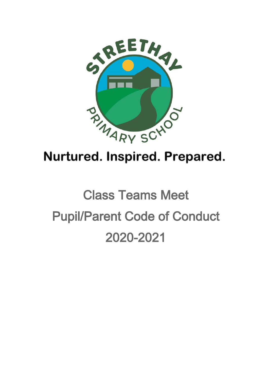

# Nurtured. Inspired. Prepared.

# **Class Teams Meet Pupil/Parent Code of Conduct** 2020-2021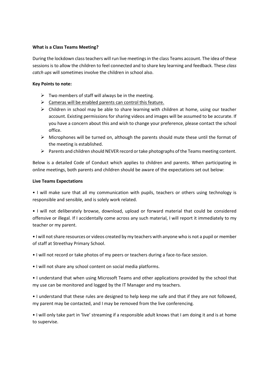#### **What is a Class Teams Meeting?**

During the lockdown class teachers will run live meetings in the class Teams account. The idea of these sessions is to allow the children to feel connected and to share key learning and feedback. These *class catch ups* will sometimes involve the children in school also.

#### **Key Points to note:**

- $\triangleright$  Two members of staff will always be in the meeting.
- $\triangleright$  Cameras will be enabled parents can control this feature.
- $\triangleright$  Children in school may be able to share learning with children at home, using our teacher account. Existing permissions for sharing videos and images will be assumed to be accurate. If you have a concern about this and wish to change your preference, please contact the school office.
- ➢ Microphones will be turned on, although the parents should mute these until the format of the meeting is established.
- ➢ Parents and children should NEVER record or take photographs of the Teams meeting content.

Below is a detailed Code of Conduct which applies to children and parents. When participating in online meetings, both parents and children should be aware of the expectations set out below:

#### **Live Teams Expectations**

• I will make sure that all my communication with pupils, teachers or others using technology is responsible and sensible, and is solely work related.

• I will not deliberately browse, download, upload or forward material that could be considered offensive or illegal. If I accidentally come across any such material, I will report it immediately to my teacher or my parent.

• I will not share resources or videos created by my teachers with anyone who is not a pupil or member of staff at Streethay Primary School.

- I will not record or take photos of my peers or teachers during a face-to-face session.
- I will not share any school content on social media platforms.

• I understand that when using Microsoft Teams and other applications provided by the school that my use can be monitored and logged by the IT Manager and my teachers.

• I understand that these rules are designed to help keep me safe and that if they are not followed, my parent may be contacted, and I may be removed from the live conferencing.

• I will only take part in 'live' streaming if a responsible adult knows that I am doing it and is at home to supervise.